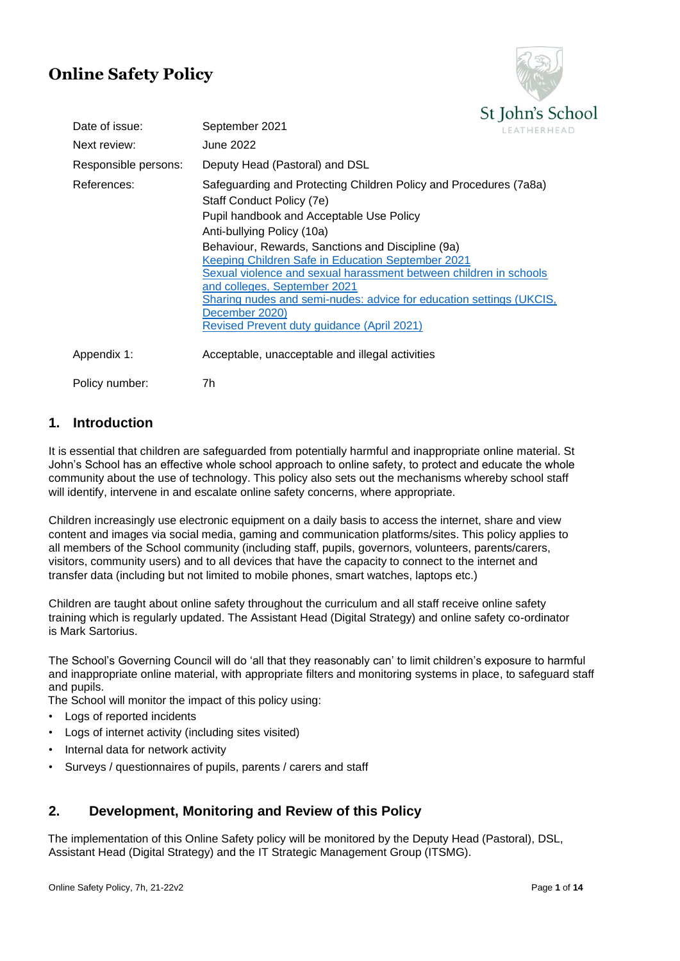# **Online Safety Policy**



| Date of issue:       | $\sim$ $\sim$ $\sim$ $\sim$ $\sim$ $\sim$ $\sim$<br>September 2021<br><b>LEATHERHEA</b>                                                                                                                                                                                                                                                                                                                                                                                                                                        |
|----------------------|--------------------------------------------------------------------------------------------------------------------------------------------------------------------------------------------------------------------------------------------------------------------------------------------------------------------------------------------------------------------------------------------------------------------------------------------------------------------------------------------------------------------------------|
| Next review:         | June 2022                                                                                                                                                                                                                                                                                                                                                                                                                                                                                                                      |
| Responsible persons: | Deputy Head (Pastoral) and DSL                                                                                                                                                                                                                                                                                                                                                                                                                                                                                                 |
| References:          | Safeguarding and Protecting Children Policy and Procedures (7a8a)<br>Staff Conduct Policy (7e)<br>Pupil handbook and Acceptable Use Policy<br>Anti-bullying Policy (10a)<br>Behaviour, Rewards, Sanctions and Discipline (9a)<br>Keeping Children Safe in Education September 2021<br>Sexual violence and sexual harassment between children in schools<br>and colleges, September 2021<br>Sharing nudes and semi-nudes: advice for education settings (UKCIS,<br>December 2020)<br>Revised Prevent duty guidance (April 2021) |
| Appendix 1:          | Acceptable, unacceptable and illegal activities                                                                                                                                                                                                                                                                                                                                                                                                                                                                                |
| Policy number:       | 7h                                                                                                                                                                                                                                                                                                                                                                                                                                                                                                                             |

## **1. Introduction**

It is essential that children are safeguarded from potentially harmful and inappropriate online material. St John's School has an effective whole school approach to online safety, to protect and educate the whole community about the use of technology. This policy also sets out the mechanisms whereby school staff will identify, intervene in and escalate online safety concerns, where appropriate.

Children increasingly use electronic equipment on a daily basis to access the internet, share and view content and images via social media, gaming and communication platforms/sites. This policy applies to all members of the School community (including staff, pupils, governors, volunteers, parents/carers, visitors, community users) and to all devices that have the capacity to connect to the internet and transfer data (including but not limited to mobile phones, smart watches, laptops etc.)

Children are taught about online safety throughout the curriculum and all staff receive online safety training which is regularly updated. The Assistant Head (Digital Strategy) and online safety co-ordinator is Mark Sartorius.

The School's Governing Council will do 'all that they reasonably can' to limit children's exposure to harmful and inappropriate online material, with appropriate filters and monitoring systems in place, to safeguard staff and pupils.

The School will monitor the impact of this policy using:

- Logs of reported incidents
- Logs of internet activity (including sites visited)
- Internal data for network activity
- Surveys / questionnaires of pupils, parents / carers and staff

# **2. Development, Monitoring and Review of this Policy**

The implementation of this Online Safety policy will be monitored by the Deputy Head (Pastoral), DSL, Assistant Head (Digital Strategy) and the IT Strategic Management Group (ITSMG).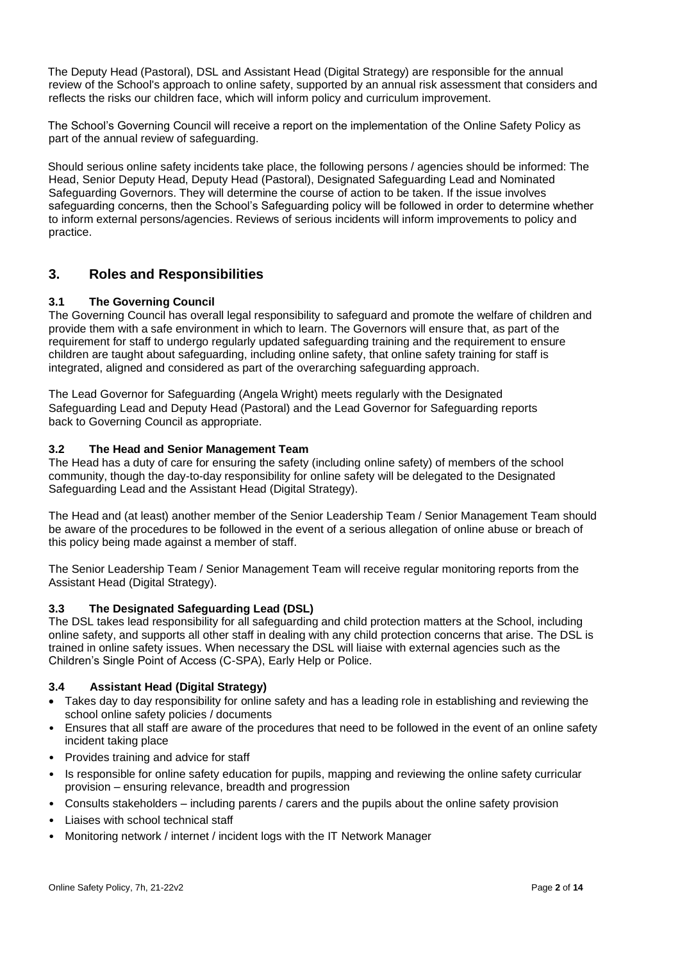The Deputy Head (Pastoral), DSL and Assistant Head (Digital Strategy) are responsible for the annual review of the School's approach to online safety, supported by an annual risk assessment that considers and reflects the risks our children face, which will inform policy and curriculum improvement.

The School's Governing Council will receive a report on the implementation of the Online Safety Policy as part of the annual review of safeguarding.

Should serious online safety incidents take place, the following persons / agencies should be informed: The Head, Senior Deputy Head, Deputy Head (Pastoral), Designated Safeguarding Lead and Nominated Safeguarding Governors. They will determine the course of action to be taken. If the issue involves safeguarding concerns, then the School's Safeguarding policy will be followed in order to determine whether to inform external persons/agencies. Reviews of serious incidents will inform improvements to policy and practice.

## **3. Roles and Responsibilities**

### **3.1 The Governing Council**

The Governing Council has overall legal responsibility to safeguard and promote the welfare of children and provide them with a safe environment in which to learn. The Governors will ensure that, as part of the requirement for staff to undergo regularly updated safeguarding training and the requirement to ensure children are taught about safeguarding, including online safety, that online safety training for staff is integrated, aligned and considered as part of the overarching safeguarding approach.

The Lead Governor for Safeguarding (Angela Wright) meets regularly with the Designated Safeguarding Lead and Deputy Head (Pastoral) and the Lead Governor for Safeguarding reports back to Governing Council as appropriate.

### **3.2 The Head and Senior Management Team**

The Head has a duty of care for ensuring the safety (including online safety) of members of the school community, though the day-to-day responsibility for online safety will be delegated to the Designated Safeguarding Lead and the Assistant Head (Digital Strategy).

The Head and (at least) another member of the Senior Leadership Team / Senior Management Team should be aware of the procedures to be followed in the event of a serious allegation of online abuse or breach of this policy being made against a member of staff.

The Senior Leadership Team / Senior Management Team will receive regular monitoring reports from the Assistant Head (Digital Strategy).

### **3.3 The Designated Safeguarding Lead (DSL)**

The DSL takes lead responsibility for all safeguarding and child protection matters at the School, including online safety, and supports all other staff in dealing with any child protection concerns that arise. The DSL is trained in online safety issues. When necessary the DSL will liaise with external agencies such as the Children's Single Point of Access (C-SPA), Early Help or Police.

### **3.4 Assistant Head (Digital Strategy)**

- Takes day to day responsibility for online safety and has a leading role in establishing and reviewing the school online safety policies / documents
- Ensures that all staff are aware of the procedures that need to be followed in the event of an online safety incident taking place
- Provides training and advice for staff
- Is responsible for online safety education for pupils, mapping and reviewing the online safety curricular provision – ensuring relevance, breadth and progression
- Consults stakeholders including parents / carers and the pupils about the online safety provision
- Liaises with school technical staff
- Monitoring network / internet / incident logs with the IT Network Manager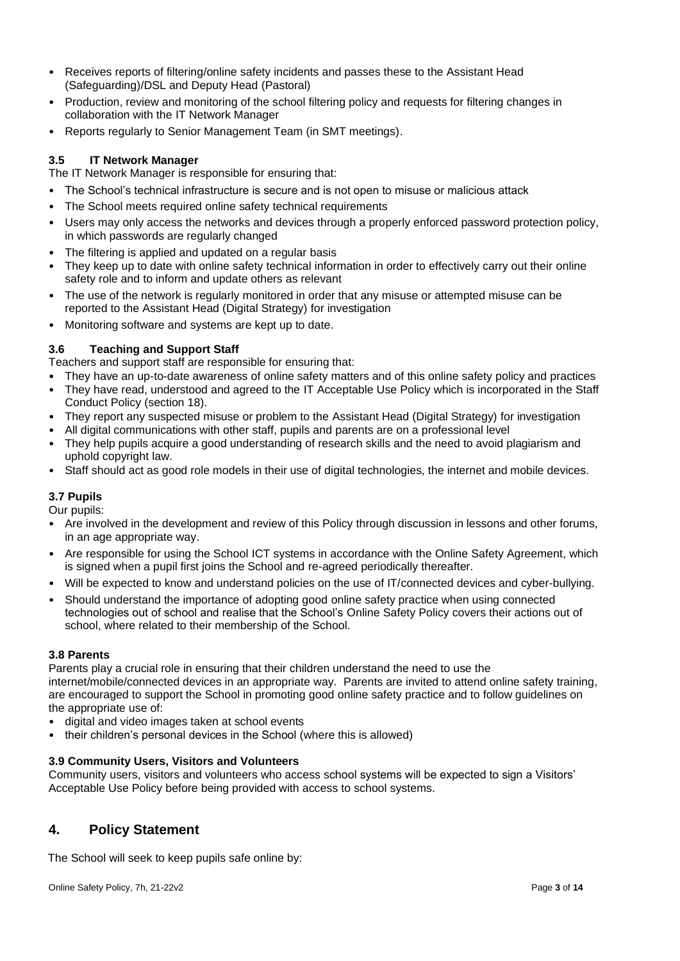- Receives reports of filtering/online safety incidents and passes these to the Assistant Head (Safeguarding)/DSL and Deputy Head (Pastoral)
- Production, review and monitoring of the school filtering policy and requests for filtering changes in collaboration with the IT Network Manager
- Reports regularly to Senior Management Team (in SMT meetings).

### **3.5 IT Network Manager**

The IT Network Manager is responsible for ensuring that:

- The School's technical infrastructure is secure and is not open to misuse or malicious attack
- The School meets required online safety technical requirements
- Users may only access the networks and devices through a properly enforced password protection policy, in which passwords are regularly changed
- The filtering is applied and updated on a regular basis
- They keep up to date with online safety technical information in order to effectively carry out their online safety role and to inform and update others as relevant
- The use of the network is regularly monitored in order that any misuse or attempted misuse can be reported to the Assistant Head (Digital Strategy) for investigation
- Monitoring software and systems are kept up to date.

### **3.6 Teaching and Support Staff**

Teachers and support staff are responsible for ensuring that:

- They have an up-to-date awareness of online safety matters and of this online safety policy and practices
- They have read, understood and agreed to the IT Acceptable Use Policy which is incorporated in the Staff Conduct Policy (section 18).
- They report any suspected misuse or problem to the Assistant Head (Digital Strategy) for investigation
- All digital communications with other staff, pupils and parents are on a professional level
- They help pupils acquire a good understanding of research skills and the need to avoid plagiarism and uphold copyright law.
- Staff should act as good role models in their use of digital technologies, the internet and mobile devices.

### **3.7 Pupils**

Our pupils:

- Are involved in the development and review of this Policy through discussion in lessons and other forums, in an age appropriate way.
- Are responsible for using the School ICT systems in accordance with the Online Safety Agreement, which is signed when a pupil first joins the School and re-agreed periodically thereafter.
- Will be expected to know and understand policies on the use of IT/connected devices and cyber-bullying.
- Should understand the importance of adopting good online safety practice when using connected technologies out of school and realise that the School's Online Safety Policy covers their actions out of school, where related to their membership of the School.

### **3.8 Parents**

Parents play a crucial role in ensuring that their children understand the need to use the internet/mobile/connected devices in an appropriate way*.* Parents are invited to attend online safety training, are encouraged to support the School in promoting good online safety practice and to follow guidelines on the appropriate use of:

- digital and video images taken at school events
- their children's personal devices in the School (where this is allowed)

### **3.9 Community Users, Visitors and Volunteers**

Community users, visitors and volunteers who access school systems will be expected to sign a Visitors' Acceptable Use Policy before being provided with access to school systems.

### **4. Policy Statement**

The School will seek to keep pupils safe online by: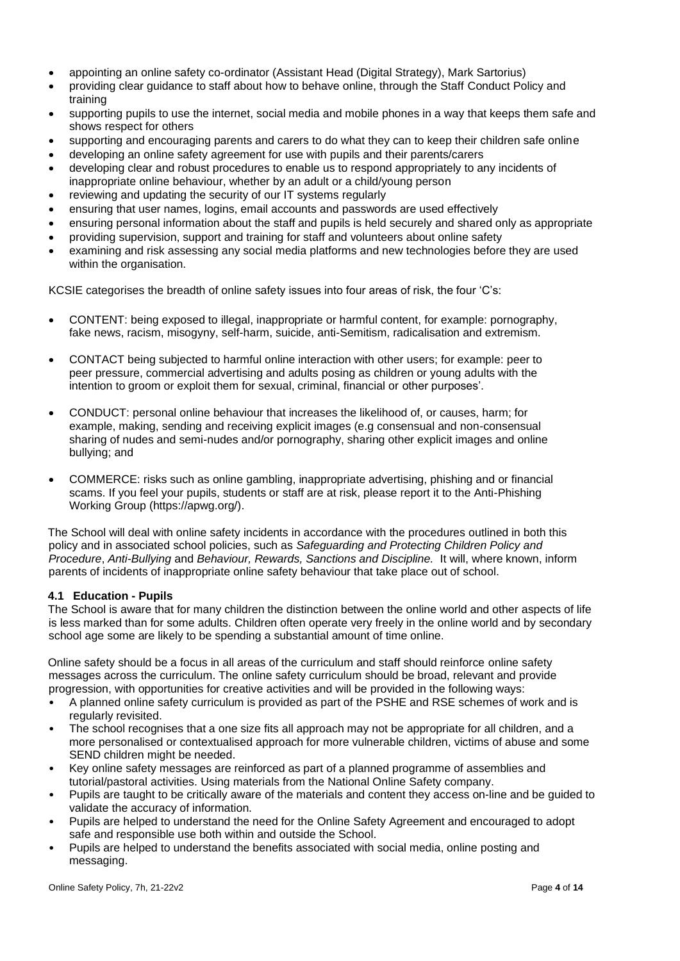- appointing an online safety co-ordinator (Assistant Head (Digital Strategy), Mark Sartorius)
- providing clear guidance to staff about how to behave online, through the Staff Conduct Policy and training
- supporting pupils to use the internet, social media and mobile phones in a way that keeps them safe and shows respect for others
- supporting and encouraging parents and carers to do what they can to keep their children safe online
- developing an online safety agreement for use with pupils and their parents/carers
- developing clear and robust procedures to enable us to respond appropriately to any incidents of inappropriate online behaviour, whether by an adult or a child/young person
- reviewing and updating the security of our IT systems regularly
- ensuring that user names, logins, email accounts and passwords are used effectively
- ensuring personal information about the staff and pupils is held securely and shared only as appropriate
- providing supervision, support and training for staff and volunteers about online safety
- examining and risk assessing any social media platforms and new technologies before they are used within the organisation.

KCSIE categorises the breadth of online safety issues into four areas of risk, the four 'C's:

- CONTENT: being exposed to illegal, inappropriate or harmful content, for example: pornography, fake news, racism, misogyny, self-harm, suicide, anti-Semitism, radicalisation and extremism.
- CONTACT being subjected to harmful online interaction with other users; for example: peer to peer pressure, commercial advertising and adults posing as children or young adults with the intention to groom or exploit them for sexual, criminal, financial or other purposes'.
- CONDUCT: personal online behaviour that increases the likelihood of, or causes, harm; for example, making, sending and receiving explicit images (e.g consensual and non-consensual sharing of nudes and semi-nudes and/or pornography, sharing other explicit images and online bullying; and
- COMMERCE: risks such as online gambling, inappropriate advertising, phishing and or financial scams. If you feel your pupils, students or staff are at risk, please report it to the Anti-Phishing Working Group (https://apwg.org/).

The School will deal with online safety incidents in accordance with the procedures outlined in both this policy and in associated school policies, such as *Safeguarding and Protecting Children Policy and Procedure*, *Anti-Bullying* and *Behaviour, Rewards, Sanctions and Discipline.* It will, where known, inform parents of incidents of inappropriate online safety behaviour that take place out of school.

#### **4.1 Education - Pupils**

The School is aware that for many children the distinction between the online world and other aspects of life is less marked than for some adults. Children often operate very freely in the online world and by secondary school age some are likely to be spending a substantial amount of time online.

Online safety should be a focus in all areas of the curriculum and staff should reinforce online safety messages across the curriculum. The online safety curriculum should be broad, relevant and provide progression, with opportunities for creative activities and will be provided in the following ways:

- A planned online safety curriculum is provided as part of the PSHE and RSE schemes of work and is regularly revisited.
- The school recognises that a one size fits all approach may not be appropriate for all children, and a more personalised or contextualised approach for more vulnerable children, victims of abuse and some SEND children might be needed.
- Key online safety messages are reinforced as part of a planned programme of assemblies and tutorial/pastoral activities. Using materials from the National Online Safety company.
- Pupils are taught to be critically aware of the materials and content they access on-line and be guided to validate the accuracy of information.
- Pupils are helped to understand the need for the Online Safety Agreement and encouraged to adopt safe and responsible use both within and outside the School.
- Pupils are helped to understand the benefits associated with social media, online posting and messaging.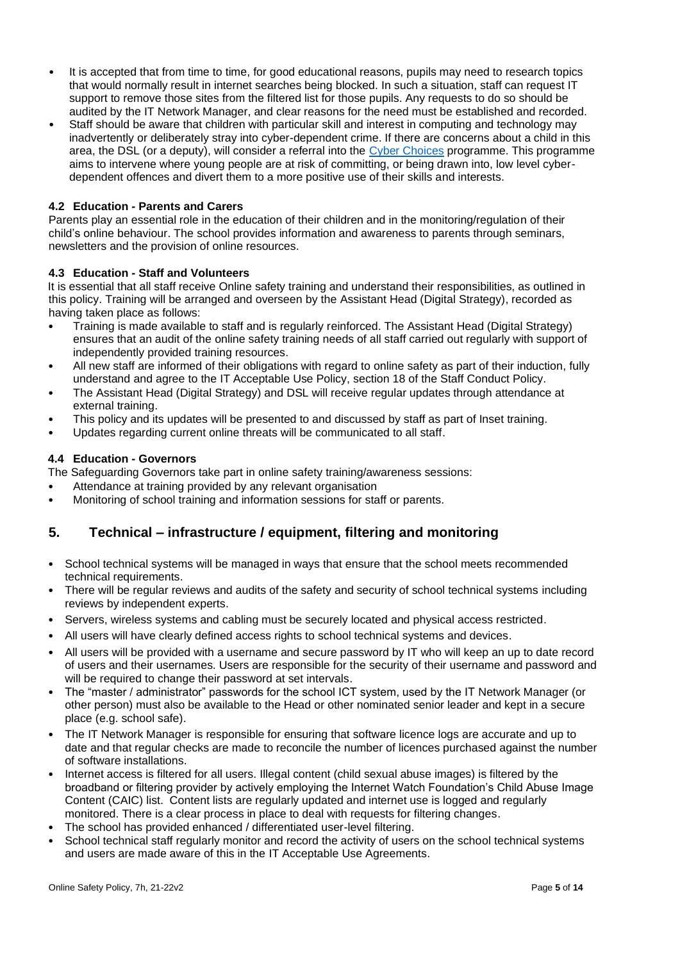- It is accepted that from time to time, for good educational reasons, pupils may need to research topics that would normally result in internet searches being blocked. In such a situation, staff can request IT support to remove those sites from the filtered list for those pupils. Any requests to do so should be audited by the IT Network Manager, and clear reasons for the need must be established and recorded.
- Staff should be aware that children with particular skill and interest in computing and technology may inadvertently or deliberately stray into cyber-dependent crime. If there are concerns about a child in this area, the DSL (or a deputy), will consider a referral into the [Cyber Choices](http://www.cyberchoices.uk/) programme. This programme aims to intervene where young people are at risk of committing, or being drawn into, low level cyberdependent offences and divert them to a more positive use of their skills and interests.

### **4.2 Education - Parents and Carers**

Parents play an essential role in the education of their children and in the monitoring/regulation of their child's online behaviour. The school provides information and awareness to parents through seminars, newsletters and the provision of online resources.

#### **4.3 Education - Staff and Volunteers**

It is essential that all staff receive Online safety training and understand their responsibilities, as outlined in this policy. Training will be arranged and overseen by the Assistant Head (Digital Strategy), recorded as having taken place as follows:

- Training is made available to staff and is regularly reinforced. The Assistant Head (Digital Strategy) ensures that an audit of the online safety training needs of all staff carried out regularly with support of independently provided training resources.
- All new staff are informed of their obligations with regard to online safety as part of their induction, fully understand and agree to the IT Acceptable Use Policy, section 18 of the Staff Conduct Policy.
- The Assistant Head (Digital Strategy) and DSL will receive regular updates through attendance at external training.
- This policy and its updates will be presented to and discussed by staff as part of Inset training.
- Updates regarding current online threats will be communicated to all staff.

#### **4.4 Education - Governors**

The Safeguarding Governors take part in online safety training/awareness sessions:

- Attendance at training provided by any relevant organisation
- Monitoring of school training and information sessions for staff or parents.

# **5. Technical – infrastructure / equipment, filtering and monitoring**

- School technical systems will be managed in ways that ensure that the school meets recommended technical requirements.
- There will be regular reviews and audits of the safety and security of school technical systems including reviews by independent experts.
- Servers, wireless systems and cabling must be securely located and physical access restricted.
- All users will have clearly defined access rights to school technical systems and devices.
- All users will be provided with a username and secure password by IT who will keep an up to date record of users and their usernames. Users are responsible for the security of their username and password and will be required to change their password at set intervals.
- The "master / administrator" passwords for the school ICT system, used by the IT Network Manager (or other person) must also be available to the Head or other nominated senior leader and kept in a secure place (e.g. school safe).
- The IT Network Manager is responsible for ensuring that software licence logs are accurate and up to date and that regular checks are made to reconcile the number of licences purchased against the number of software installations.
- Internet access is filtered for all users. Illegal content (child sexual abuse images) is filtered by the broadband or filtering provider by actively employing the Internet Watch Foundation's Child Abuse Image Content (CAIC) list. Content lists are regularly updated and internet use is logged and regularly monitored. There is a clear process in place to deal with requests for filtering changes.
- The school has provided enhanced / differentiated user-level filtering.
- School technical staff regularly monitor and record the activity of users on the school technical systems and users are made aware of this in the IT Acceptable Use Agreements.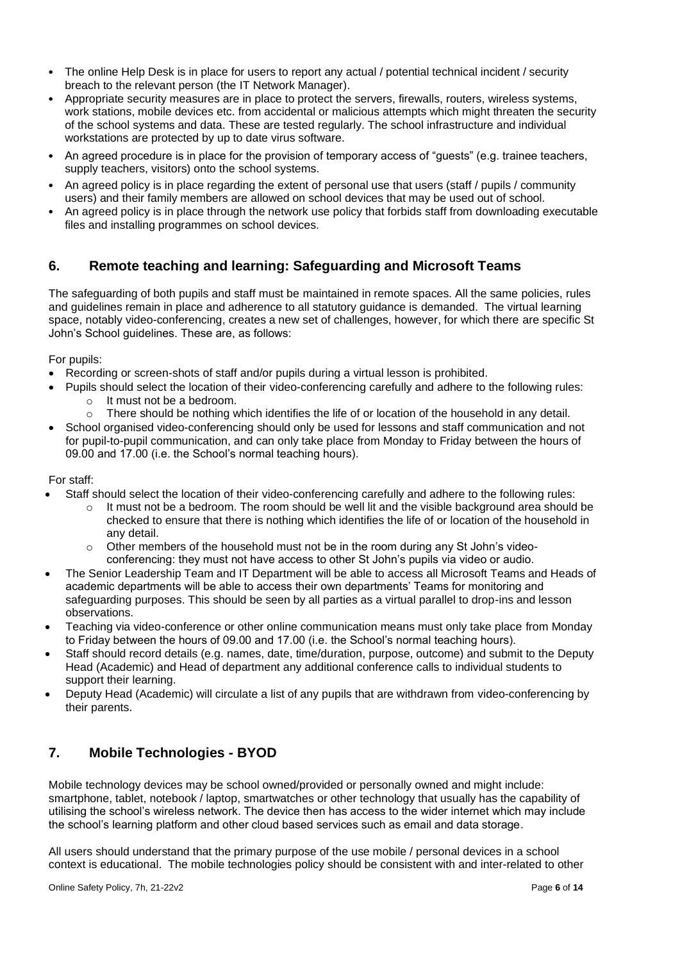- The online Help Desk is in place for users to report any actual / potential technical incident / security breach to the relevant person (the IT Network Manager).
- Appropriate security measures are in place to protect the servers, firewalls, routers, wireless systems, work stations, mobile devices etc. from accidental or malicious attempts which might threaten the security of the school systems and data. These are tested regularly. The school infrastructure and individual workstations are protected by up to date virus software.
- An agreed procedure is in place for the provision of temporary access of "guests" (e.g. trainee teachers, supply teachers, visitors) onto the school systems.
- An agreed policy is in place regarding the extent of personal use that users (staff / pupils / community users) and their family members are allowed on school devices that may be used out of school.
- An agreed policy is in place through the network use policy that forbids staff from downloading executable files and installing programmes on school devices.

# **6. Remote teaching and learning: Safeguarding and Microsoft Teams**

The safeguarding of both pupils and staff must be maintained in remote spaces. All the same policies, rules and guidelines remain in place and adherence to all statutory guidance is demanded. The virtual learning space, notably video-conferencing, creates a new set of challenges, however, for which there are specific St John's School guidelines. These are, as follows:

For pupils:

- Recording or screen-shots of staff and/or pupils during a virtual lesson is prohibited.
- Pupils should select the location of their video-conferencing carefully and adhere to the following rules:
	- o It must not be a bedroom.
	- $\circ$  There should be nothing which identifies the life of or location of the household in any detail.
- School organised video-conferencing should only be used for lessons and staff communication and not for pupil-to-pupil communication, and can only take place from Monday to Friday between the hours of 09.00 and 17.00 (i.e. the School's normal teaching hours).

### For staff:

- Staff should select the location of their video-conferencing carefully and adhere to the following rules:
	- $\circ$  It must not be a bedroom. The room should be well lit and the visible background area should be checked to ensure that there is nothing which identifies the life of or location of the household in any detail.
	- $\circ$  Other members of the household must not be in the room during any St John's videoconferencing: they must not have access to other St John's pupils via video or audio.
- The Senior Leadership Team and IT Department will be able to access all Microsoft Teams and Heads of academic departments will be able to access their own departments' Teams for monitoring and safeguarding purposes. This should be seen by all parties as a virtual parallel to drop-ins and lesson observations.
- Teaching via video-conference or other online communication means must only take place from Monday to Friday between the hours of 09.00 and 17.00 (i.e. the School's normal teaching hours).
- Staff should record details (e.g. names, date, time/duration, purpose, outcome) and submit to the Deputy Head (Academic) and Head of department any additional conference calls to individual students to support their learning.
- Deputy Head (Academic) will circulate a list of any pupils that are withdrawn from video-conferencing by their parents.

# **7. Mobile Technologies - BYOD**

Mobile technology devices may be school owned/provided or personally owned and might include: smartphone, tablet, notebook / laptop, smartwatches or other technology that usually has the capability of utilising the school's wireless network. The device then has access to the wider internet which may include the school's learning platform and other cloud based services such as email and data storage.

All users should understand that the primary purpose of the use mobile / personal devices in a school context is educational. The mobile technologies policy should be consistent with and inter-related to other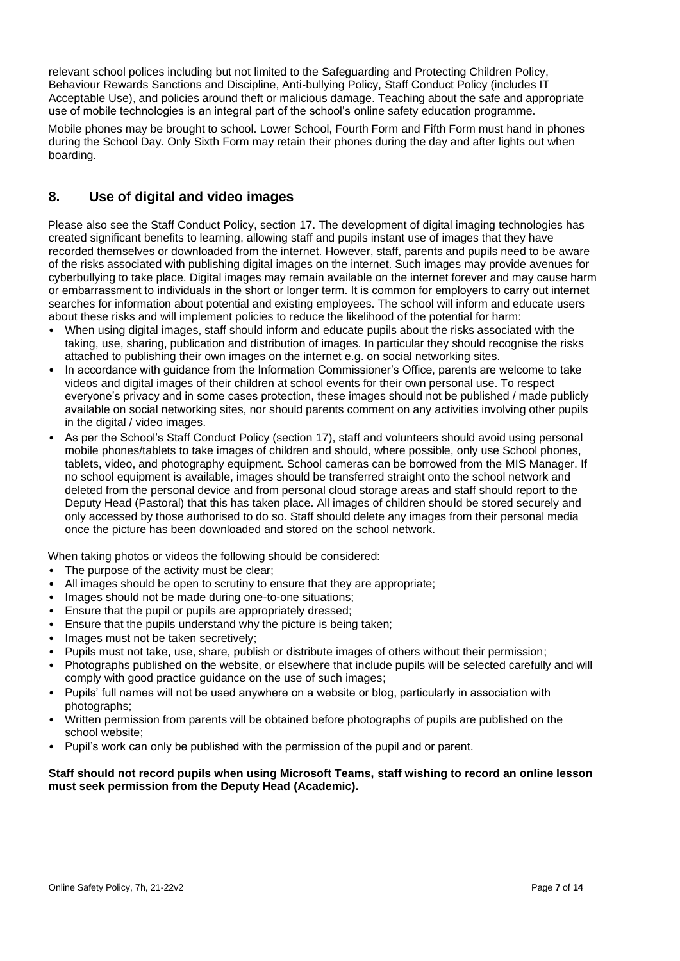relevant school polices including but not limited to the Safeguarding and Protecting Children Policy, Behaviour Rewards Sanctions and Discipline, Anti-bullying Policy, Staff Conduct Policy (includes IT Acceptable Use), and policies around theft or malicious damage. Teaching about the safe and appropriate use of mobile technologies is an integral part of the school's online safety education programme.

Mobile phones may be brought to school. Lower School, Fourth Form and Fifth Form must hand in phones during the School Day. Only Sixth Form may retain their phones during the day and after lights out when boarding.

# **8. Use of digital and video images**

Please also see the Staff Conduct Policy, section 17. The development of digital imaging technologies has created significant benefits to learning, allowing staff and pupils instant use of images that they have recorded themselves or downloaded from the internet. However, staff, parents and pupils need to be aware of the risks associated with publishing digital images on the internet. Such images may provide avenues for cyberbullying to take place. Digital images may remain available on the internet forever and may cause harm or embarrassment to individuals in the short or longer term. It is common for employers to carry out internet searches for information about potential and existing employees. The school will inform and educate users about these risks and will implement policies to reduce the likelihood of the potential for harm:

- When using digital images, staff should inform and educate pupils about the risks associated with the taking, use, sharing, publication and distribution of images. In particular they should recognise the risks attached to publishing their own images on the internet e.g. on social networking sites.
- In accordance with guidance from the Information Commissioner's Office, parents are welcome to take videos and digital images of their children at school events for their own personal use. To respect everyone's privacy and in some cases protection, these images should not be published / made publicly available on social networking sites, nor should parents comment on any activities involving other pupils in the digital / video images.
- As per the School's Staff Conduct Policy (section 17), staff and volunteers should avoid using personal mobile phones/tablets to take images of children and should, where possible, only use School phones, tablets, video, and photography equipment. School cameras can be borrowed from the MIS Manager. If no school equipment is available, images should be transferred straight onto the school network and deleted from the personal device and from personal cloud storage areas and staff should report to the Deputy Head (Pastoral) that this has taken place. All images of children should be stored securely and only accessed by those authorised to do so. Staff should delete any images from their personal media once the picture has been downloaded and stored on the school network.

When taking photos or videos the following should be considered:

- The purpose of the activity must be clear:
- All images should be open to scrutiny to ensure that they are appropriate;
- Images should not be made during one-to-one situations;
- Ensure that the pupil or pupils are appropriately dressed;
- Ensure that the pupils understand why the picture is being taken;
- Images must not be taken secretively;
- Pupils must not take, use, share, publish or distribute images of others without their permission;
- Photographs published on the website, or elsewhere that include pupils will be selected carefully and will comply with good practice guidance on the use of such images;
- Pupils' full names will not be used anywhere on a website or blog, particularly in association with photographs;
- Written permission from parents will be obtained before photographs of pupils are published on the school website;
- Pupil's work can only be published with the permission of the pupil and or parent.

### **Staff should not record pupils when using Microsoft Teams, staff wishing to record an online lesson must seek permission from the Deputy Head (Academic).**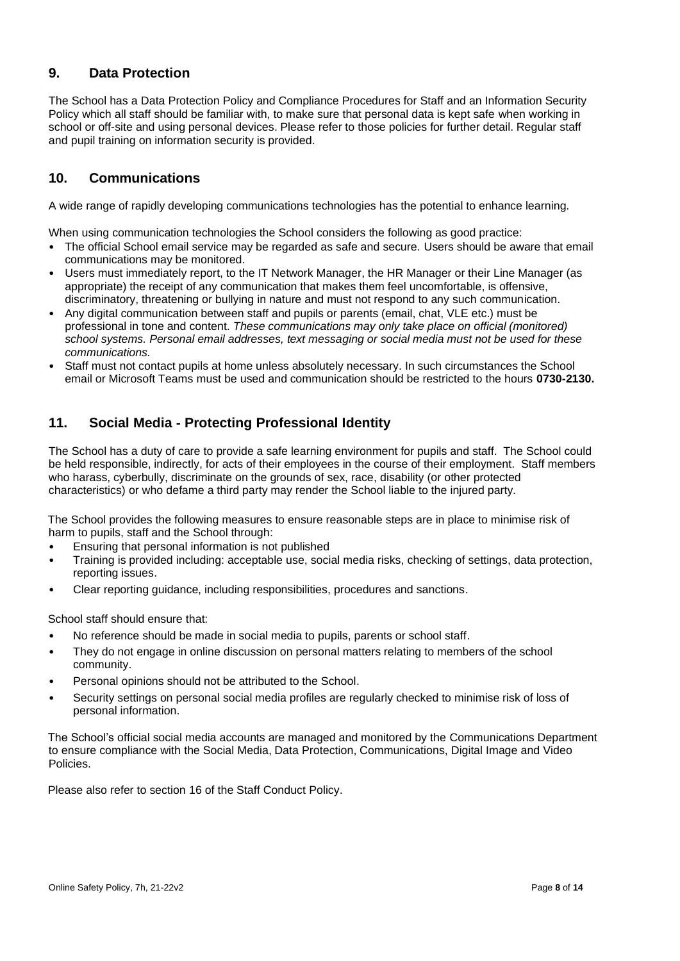# **9. Data Protection**

The School has a Data Protection Policy and Compliance Procedures for Staff and an Information Security Policy which all staff should be familiar with, to make sure that personal data is kept safe when working in school or off-site and using personal devices. Please refer to those policies for further detail. Regular staff and pupil training on information security is provided.

# **10. Communications**

A wide range of rapidly developing communications technologies has the potential to enhance learning.

When using communication technologies the School considers the following as good practice:

- The official School email service may be regarded as safe and secure. Users should be aware that email communications may be monitored.
- Users must immediately report, to the IT Network Manager, the HR Manager or their Line Manager (as appropriate) the receipt of any communication that makes them feel uncomfortable, is offensive, discriminatory, threatening or bullying in nature and must not respond to any such communication.
- Any digital communication between staff and pupils or parents (email, chat, VLE etc.) must be professional in tone and content. *These communications may only take place on official (monitored) school systems. Personal email addresses, text messaging or social media must not be used for these communications.*
- Staff must not contact pupils at home unless absolutely necessary. In such circumstances the School email or Microsoft Teams must be used and communication should be restricted to the hours **0730-2130.**

# **11. Social Media - Protecting Professional Identity**

The School has a duty of care to provide a safe learning environment for pupils and staff. The School could be held responsible, indirectly, for acts of their employees in the course of their employment. Staff members who harass, cyberbully, discriminate on the grounds of sex, race, disability (or other protected characteristics) or who defame a third party may render the School liable to the injured party.

The School provides the following measures to ensure reasonable steps are in place to minimise risk of harm to pupils, staff and the School through:

- Ensuring that personal information is not published
- Training is provided including: acceptable use, social media risks, checking of settings, data protection, reporting issues.
- Clear reporting guidance, including responsibilities, procedures and sanctions.

School staff should ensure that:

- No reference should be made in social media to pupils, parents or school staff.
- They do not engage in online discussion on personal matters relating to members of the school community.
- Personal opinions should not be attributed to the School.
- Security settings on personal social media profiles are regularly checked to minimise risk of loss of personal information.

The School's official social media accounts are managed and monitored by the Communications Department to ensure compliance with the Social Media, Data Protection, Communications, Digital Image and Video Policies.

Please also refer to section 16 of the Staff Conduct Policy.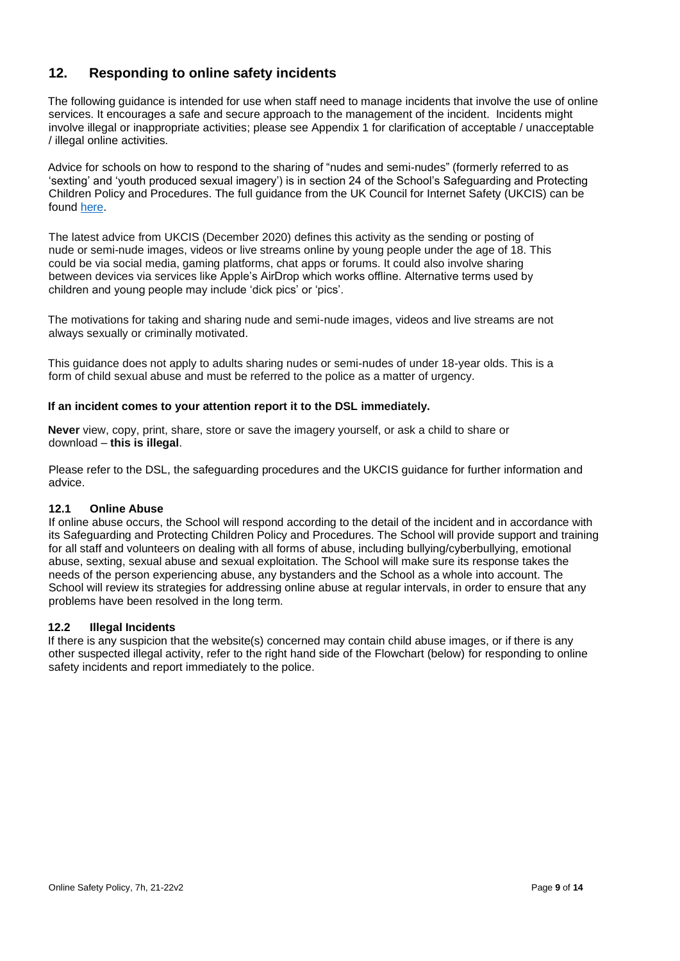# **12. Responding to online safety incidents**

The following guidance is intended for use when staff need to manage incidents that involve the use of online services. It encourages a safe and secure approach to the management of the incident. Incidents might involve illegal or inappropriate activities; please see Appendix 1 for clarification of acceptable / unacceptable / illegal online activities.

Advice for schools on how to respond to the sharing of "nudes and semi-nudes" (formerly referred to as 'sexting' and 'youth produced sexual imagery') is in section 24 of the School's Safeguarding and Protecting Children Policy and Procedures. The full guidance from the UK Council for Internet Safety (UKCIS) can be found [here.](https://www.gov.uk/government/publications/sharing-nudes-and-semi-nudes-advice-for-education-settings-working-with-children-and-young-people/sharing-nudes-and-semi-nudes-advice-for-education-settings-working-with-children-and-young-people)

The latest advice from UKCIS (December 2020) defines this activity as the sending or posting of nude or semi-nude images, videos or live streams online by young people under the age of 18. This could be via social media, gaming platforms, chat apps or forums. It could also involve sharing between devices via services like Apple's AirDrop which works offline. Alternative terms used by children and young people may include 'dick pics' or 'pics'.

The motivations for taking and sharing nude and semi-nude images, videos and live streams are not always sexually or criminally motivated.

This guidance does not apply to adults sharing nudes or semi-nudes of under 18-year olds. This is a form of child sexual abuse and must be referred to the police as a matter of urgency.

#### **If an incident comes to your attention report it to the DSL immediately.**

**Never** view, copy, print, share, store or save the imagery yourself, or ask a child to share or download – **this is illegal**.

Please refer to the DSL, the safeguarding procedures and the UKCIS guidance for further information and advice.

#### **12.1 Online Abuse**

If online abuse occurs, the School will respond according to the detail of the incident and in accordance with its Safeguarding and Protecting Children Policy and Procedures. The School will provide support and training for all staff and volunteers on dealing with all forms of abuse, including bullying/cyberbullying, emotional abuse, sexting, sexual abuse and sexual exploitation. The School will make sure its response takes the needs of the person experiencing abuse, any bystanders and the School as a whole into account. The School will review its strategies for addressing online abuse at regular intervals, in order to ensure that any problems have been resolved in the long term.

#### **12.2 Illegal Incidents**

If there is any suspicion that the website(s) concerned may contain child abuse images, or if there is any other suspected illegal activity, refer to the right hand side of the Flowchart (below) for responding to online safety incidents and report immediately to the police.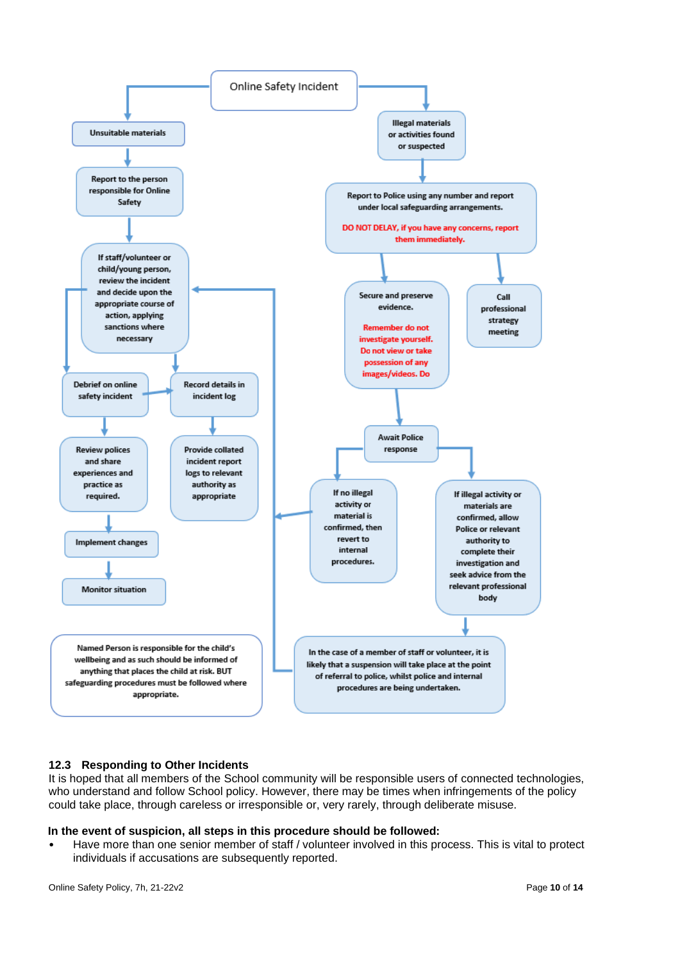

### **12.3 Responding to Other Incidents**

It is hoped that all members of the School community will be responsible users of connected technologies, who understand and follow School policy. However, there may be times when infringements of the policy could take place, through careless or irresponsible or, very rarely, through deliberate misuse.

#### **In the event of suspicion, all steps in this procedure should be followed:**

• Have more than one senior member of staff / volunteer involved in this process. This is vital to protect individuals if accusations are subsequently reported.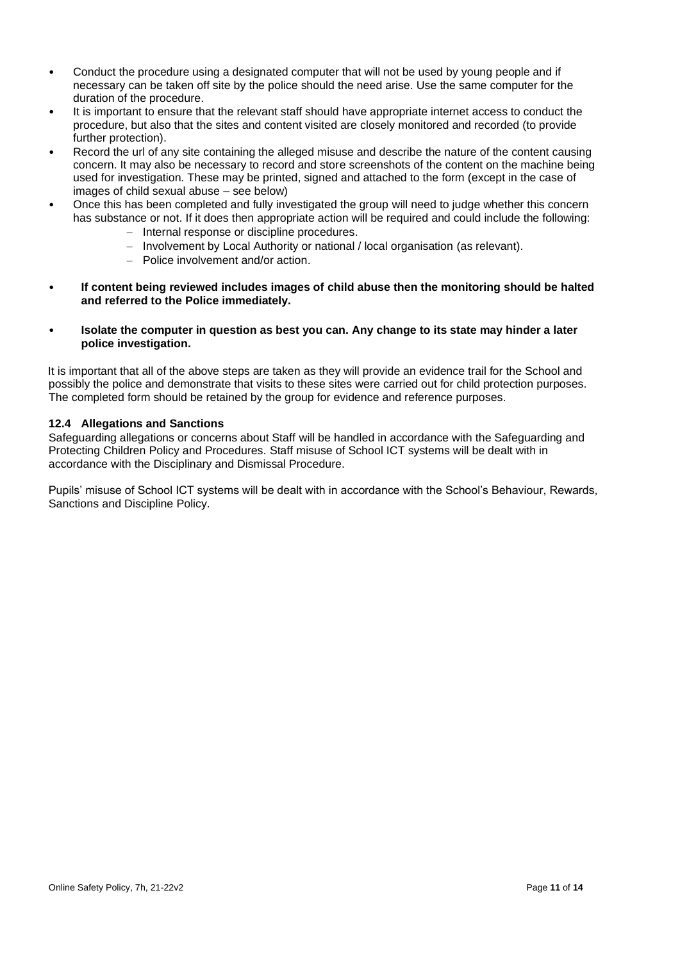- Conduct the procedure using a designated computer that will not be used by young people and if necessary can be taken off site by the police should the need arise. Use the same computer for the duration of the procedure.
- It is important to ensure that the relevant staff should have appropriate internet access to conduct the procedure, but also that the sites and content visited are closely monitored and recorded (to provide further protection).
- Record the url of any site containing the alleged misuse and describe the nature of the content causing concern. It may also be necessary to record and store screenshots of the content on the machine being used for investigation. These may be printed, signed and attached to the form (except in the case of images of child sexual abuse – see below)
- Once this has been completed and fully investigated the group will need to judge whether this concern has substance or not. If it does then appropriate action will be required and could include the following:
	- − Internal response or discipline procedures.
	- − Involvement by Local Authority or national / local organisation (as relevant).
	- − Police involvement and/or action.
- **If content being reviewed includes images of child abuse then the monitoring should be halted and referred to the Police immediately.**
- **Isolate the computer in question as best you can. Any change to its state may hinder a later police investigation.**

It is important that all of the above steps are taken as they will provide an evidence trail for the School and possibly the police and demonstrate that visits to these sites were carried out for child protection purposes. The completed form should be retained by the group for evidence and reference purposes.

### **12.4 Allegations and Sanctions**

Safeguarding allegations or concerns about Staff will be handled in accordance with the Safeguarding and Protecting Children Policy and Procedures. Staff misuse of School ICT systems will be dealt with in accordance with the Disciplinary and Dismissal Procedure.

Pupils' misuse of School ICT systems will be dealt with in accordance with the School's Behaviour, Rewards, Sanctions and Discipline Policy.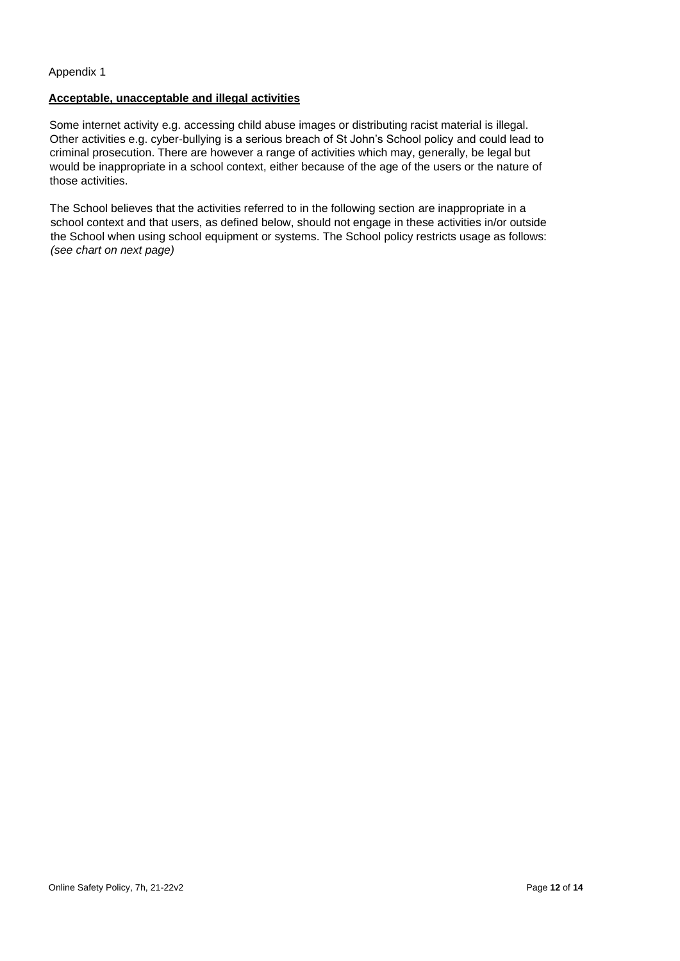### Appendix 1

### **Acceptable, unacceptable and illegal activities**

Some internet activity e.g. accessing child abuse images or distributing racist material is illegal. Other activities e.g. cyber-bullying is a serious breach of St John's School policy and could lead to criminal prosecution. There are however a range of activities which may, generally, be legal but would be inappropriate in a school context, either because of the age of the users or the nature of those activities.

The School believes that the activities referred to in the following section are inappropriate in a school context and that users, as defined below, should not engage in these activities in/or outside the School when using school equipment or systems. The School policy restricts usage as follows: *(see chart on next page)*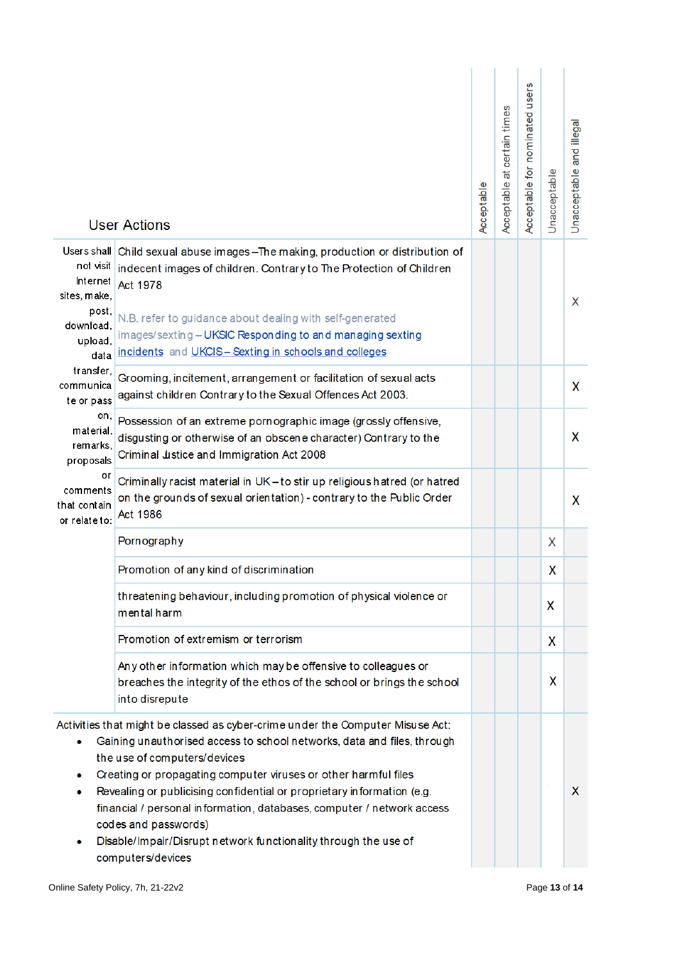|                                                                                                                                                                                                                                                                                                                                                                                                                                                                                                                                                 | <b>User Actions</b>                                                                                                                                                                                                              | Acceptable | at certain times<br>Acceptable | Acceptable for nominated users | Unacceptable | and illegal<br>Unacceptable |
|-------------------------------------------------------------------------------------------------------------------------------------------------------------------------------------------------------------------------------------------------------------------------------------------------------------------------------------------------------------------------------------------------------------------------------------------------------------------------------------------------------------------------------------------------|----------------------------------------------------------------------------------------------------------------------------------------------------------------------------------------------------------------------------------|------------|--------------------------------|--------------------------------|--------------|-----------------------------|
| not visit<br>Internet<br>sites, make,<br>post,<br>download.                                                                                                                                                                                                                                                                                                                                                                                                                                                                                     | Users shall Child sexual abuse images - The making, production or distribution of<br>indecent images of children. Contrary to The Protection of Children<br>Act 1978<br>N.B. refer to guidance about dealing with self-generated |            |                                |                                |              | X                           |
| upload,<br>data                                                                                                                                                                                                                                                                                                                                                                                                                                                                                                                                 | images/sexting-UKSIC Responding to and managing sexting<br>incidents and UKCIS-Sexting in schools and colleges                                                                                                                   |            |                                |                                |              |                             |
| transfer.<br>communica<br>te or pass                                                                                                                                                                                                                                                                                                                                                                                                                                                                                                            | Grooming, incitement, arrangement or facilitation of sexual acts<br>against children Contrary to the Sexual Offences Act 2003.                                                                                                   |            |                                |                                |              | X                           |
| on,<br>material,<br>remarks.<br>proposals<br>or<br>comments<br>that contain<br>or relate to:                                                                                                                                                                                                                                                                                                                                                                                                                                                    | Possession of an extreme pornographic image (grossly offensive,<br>disgusting or otherwise of an obscene character) Contrary to the<br>Criminal Justice and Immigration Act 2008                                                 |            |                                |                                |              | X                           |
|                                                                                                                                                                                                                                                                                                                                                                                                                                                                                                                                                 | Criminally racist material in UK-to stir up religious hatred (or hatred<br>on the grounds of sexual orientation) - contrary to the Public Order<br>Act 1986                                                                      |            |                                |                                |              | X                           |
|                                                                                                                                                                                                                                                                                                                                                                                                                                                                                                                                                 | Pornography                                                                                                                                                                                                                      |            |                                |                                | X            |                             |
|                                                                                                                                                                                                                                                                                                                                                                                                                                                                                                                                                 | Promotion of any kind of discrimination                                                                                                                                                                                          |            |                                |                                | x            |                             |
|                                                                                                                                                                                                                                                                                                                                                                                                                                                                                                                                                 | threatening behaviour, including promotion of physical violence or<br>mental harm                                                                                                                                                |            |                                |                                | X            |                             |
|                                                                                                                                                                                                                                                                                                                                                                                                                                                                                                                                                 | Promotion of extremism or terrorism                                                                                                                                                                                              |            |                                |                                | X            |                             |
|                                                                                                                                                                                                                                                                                                                                                                                                                                                                                                                                                 | Any other information which may be offensive to colleagues or<br>breaches the integrity of the ethos of the school or brings the school<br>into disrepute                                                                        |            |                                |                                | X            |                             |
| Activities that might be classed as cyber-crime under the Computer Misuse Act:<br>Gaining unauthorised access to school networks, data and files, through<br>۰<br>the use of computers/devices<br>Creating or propagating computer viruses or other harmful files<br>۰<br>Revealing or publicising confidential or proprietary information (e.g.<br>۰<br>financial / personal information, databases, computer / network access<br>codes and passwords)<br>Disable/Impair/Disrupt network functionality through the use of<br>computers/devices |                                                                                                                                                                                                                                  |            |                                |                                |              | X                           |